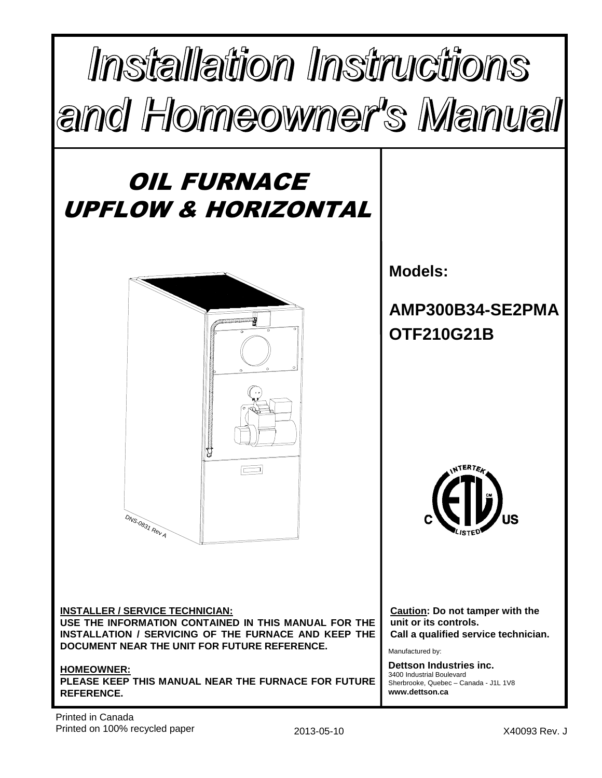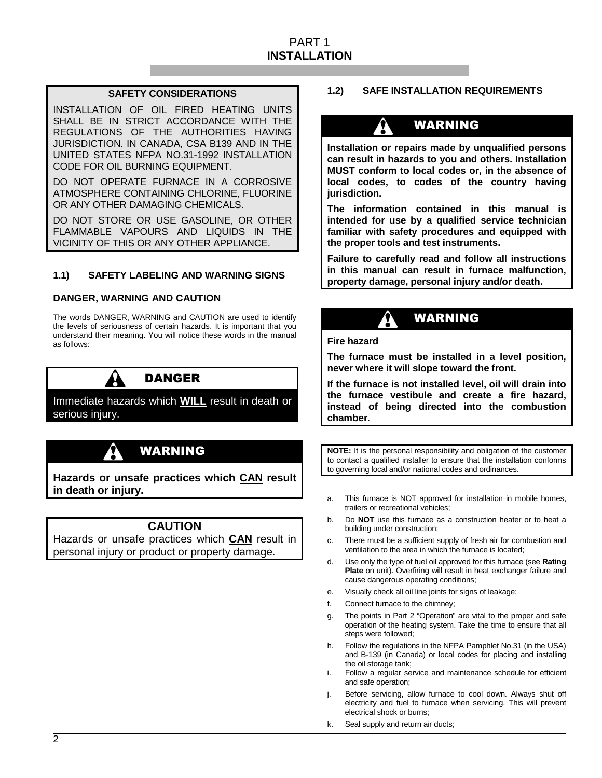# PART 1 **INSTALLATION**

# **SAFETY CONSIDERATIONS**

INSTALLATION OF OIL FIRED HEATING UNITS SHALL BE IN STRICT ACCORDANCE WITH THE REGULATIONS OF THE AUTHORITIES HAVING JURISDICTION. IN CANADA, CSA B139 AND IN THE UNITED STATES NFPA NO.31-1992 INSTALLATION CODE FOR OIL BURNING EQUIPMENT.

DO NOT OPERATE FURNACE IN A CORROSIVE ATMOSPHERE CONTAINING CHLORINE, FLUORINE OR ANY OTHER DAMAGING CHEMICALS.

DO NOT STORE OR USE GASOLINE, OR OTHER FLAMMABLE VAPOURS AND LIQUIDS IN THE VICINITY OF THIS OR ANY OTHER APPLIANCE.

# **1.1) SAFETY LABELING AND WARNING SIGNS**

## **DANGER, WARNING AND CAUTION**

The words DANGER, WARNING and CAUTION are used to identify the levels of seriousness of certain hazards. It is important that you understand their meaning. You will notice these words in the manual as follows:



# DANGER

Immediate hazards which **WILL** result in death or serious injury.



**Hazards or unsafe practices which CAN result in death or injury.** 

# **CAUTION**

Hazards or unsafe practices which **CAN** result in personal injury or product or property damage.

## **1.2) SAFE INSTALLATION REQUIREMENTS**

# WARNING

**Installation or repairs made by unqualified persons can result in hazards to you and others. Installation MUST conform to local codes or, in the absence of local codes, to codes of the country having jurisdiction.** 

**The information contained in this manual is intended for use by a qualified service technician familiar with safety procedures and equipped with the proper tools and test instruments.** 

**Failure to carefully read and follow all instructions in this manual can result in furnace malfunction, property damage, personal injury and/or death.**

# WARNING

**Fire hazard** 

**The furnace must be installed in a level position, never where it will slope toward the front.** 

**If the furnace is not installed level, oil will drain into the furnace vestibule and create a fire hazard, instead of being directed into the combustion chamber**.

**NOTE:** It is the personal responsibility and obligation of the customer to contact a qualified installer to ensure that the installation conforms to governing local and/or national codes and ordinances.

- a. This furnace is NOT approved for installation in mobile homes, trailers or recreational vehicles;
- b. Do **NOT** use this furnace as a construction heater or to heat a building under construction;
- c. There must be a sufficient supply of fresh air for combustion and ventilation to the area in which the furnace is located;
- d. Use only the type of fuel oil approved for this furnace (see **Rating Plate** on unit). Overfiring will result in heat exchanger failure and cause dangerous operating conditions;
- e. Visually check all oil line joints for signs of leakage;
- f. Connect furnace to the chimney;
- g. The points in Part 2 "Operation" are vital to the proper and safe operation of the heating system. Take the time to ensure that all steps were followed;
- h. Follow the regulations in the NFPA Pamphlet No.31 (in the USA) and B-139 (in Canada) or local codes for placing and installing the oil storage tank;
- i. Follow a regular service and maintenance schedule for efficient and safe operation;
- j. Before servicing, allow furnace to cool down. Always shut off electricity and fuel to furnace when servicing. This will prevent electrical shock or burns;
- k. Seal supply and return air ducts;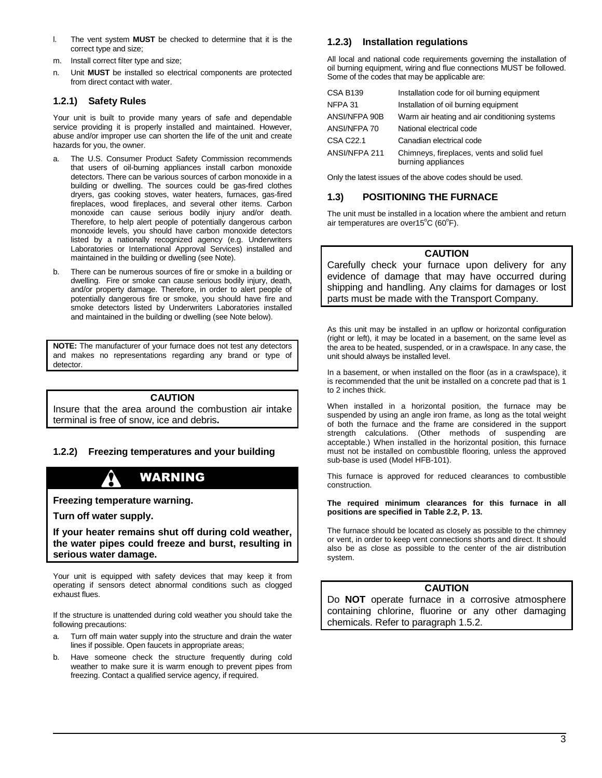- l. The vent system **MUST** be checked to determine that it is the correct type and size;
- m. Install correct filter type and size;
- n. Unit **MUST** be installed so electrical components are protected from direct contact with water.

# **1.2.1) Safety Rules**

Your unit is built to provide many years of safe and dependable service providing it is properly installed and maintained. However, abuse and/or improper use can shorten the life of the unit and create hazards for you, the owner.

- a. The U.S. Consumer Product Safety Commission recommends that users of oil-burning appliances install carbon monoxide detectors. There can be various sources of carbon monoxide in a building or dwelling. The sources could be gas-fired clothes dryers, gas cooking stoves, water heaters, furnaces, gas-fired fireplaces, wood fireplaces, and several other items. Carbon monoxide can cause serious bodily injury and/or death. Therefore, to help alert people of potentially dangerous carbon monoxide levels, you should have carbon monoxide detectors listed by a nationally recognized agency (e.g. Underwriters Laboratories or International Approval Services) installed and maintained in the building or dwelling (see Note).
- b. There can be numerous sources of fire or smoke in a building or dwelling. Fire or smoke can cause serious bodily injury, death, and/or property damage. Therefore, in order to alert people of potentially dangerous fire or smoke, you should have fire and smoke detectors listed by Underwriters Laboratories installed and maintained in the building or dwelling (see Note below).

**NOTE:** The manufacturer of your furnace does not test any detectors and makes no representations regarding any brand or type of detector.

# **CAUTION**

Insure that the area around the combustion air intake terminal is free of snow, ice and debris**.** 

# **1.2.2) Freezing temperatures and your building**

# WARNING

**Freezing temperature warning.** 

**Turn off water supply.** 

**If your heater remains shut off during cold weather, the water pipes could freeze and burst, resulting in serious water damage.**

Your unit is equipped with safety devices that may keep it from operating if sensors detect abnormal conditions such as clogged exhaust flues.

If the structure is unattended during cold weather you should take the following precautions:

- a. Turn off main water supply into the structure and drain the water lines if possible. Open faucets in appropriate areas;
- b. Have someone check the structure frequently during cold weather to make sure it is warm enough to prevent pipes from freezing. Contact a qualified service agency, if required.

## **1.2.3) Installation regulations**

All local and national code requirements governing the installation of oil burning equipment, wiring and flue connections MUST be followed. Some of the codes that may be applicable are:

| <b>CSA B139</b>  | Installation code for oil burning equipment                      |
|------------------|------------------------------------------------------------------|
| NFPA 31          | Installation of oil burning equipment                            |
| ANSI/NFPA 90B    | Warm air heating and air conditioning systems                    |
| ANSI/NFPA 70     | National electrical code                                         |
| <b>CSA C22.1</b> | Canadian electrical code                                         |
| ANSI/NFPA 211    | Chimneys, fireplaces, vents and solid fuel<br>burning appliances |

Only the latest issues of the above codes should be used.

## **1.3) POSITIONING THE FURNACE**

The unit must be installed in a location where the ambient and return air temperatures are over15 $\mathrm{^{\circ}C}$  (60 $\mathrm{^{\circ}F}$ ).

### **CAUTION**

Carefully check your furnace upon delivery for any evidence of damage that may have occurred during shipping and handling. Any claims for damages or lost parts must be made with the Transport Company.

As this unit may be installed in an upflow or horizontal configuration (right or left), it may be located in a basement, on the same level as the area to be heated, suspended, or in a crawlspace. In any case, the unit should always be installed level.

In a basement, or when installed on the floor (as in a crawlspace), it is recommended that the unit be installed on a concrete pad that is 1 to 2 inches thick.

When installed in a horizontal position, the furnace may be suspended by using an angle iron frame, as long as the total weight of both the furnace and the frame are considered in the support strength calculations. (Other methods of suspending are acceptable.) When installed in the horizontal position, this furnace must not be installed on combustible flooring, unless the approved sub-base is used (Model HFB-101).

This furnace is approved for reduced clearances to combustible construction.

#### **The required minimum clearances for this furnace in all positions are specified in Table 2.2, P. 13.**

The furnace should be located as closely as possible to the chimney or vent, in order to keep vent connections shorts and direct. It should also be as close as possible to the center of the air distribution system.

## **CAUTION**

Do **NOT** operate furnace in a corrosive atmosphere containing chlorine, fluorine or any other damaging chemicals. Refer to paragraph 1.5.2.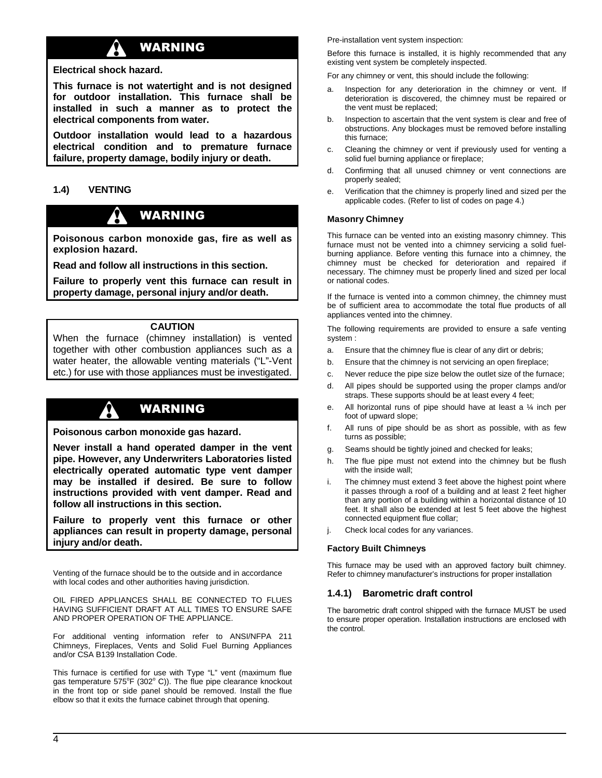# WARNING

## **Electrical shock hazard.**

**This furnace is not watertight and is not designed for outdoor installation. This furnace shall be installed in such a manner as to protect the electrical components from water.** 

**Outdoor installation would lead to a hazardous electrical condition and to premature furnace failure, property damage, bodily injury or death.** 

# **1.4) VENTING**

# WARNING

**Poisonous carbon monoxide gas, fire as well as explosion hazard.** 

**Read and follow all instructions in this section.** 

**Failure to properly vent this furnace can result in property damage, personal injury and/or death.** 

# **CAUTION**

When the furnace (chimney installation) is vented together with other combustion appliances such as a water heater, the allowable venting materials ("L"-Vent etc.) for use with those appliances must be investigated.

# WARNING

**Poisonous carbon monoxide gas hazard.** 

**Never install a hand operated damper in the vent pipe. However, any Underwriters Laboratories listed electrically operated automatic type vent damper may be installed if desired. Be sure to follow instructions provided with vent damper. Read and follow all instructions in this section.** 

**Failure to properly vent this furnace or other appliances can result in property damage, personal injury and/or death.**

Venting of the furnace should be to the outside and in accordance with local codes and other authorities having jurisdiction.

OIL FIRED APPLIANCES SHALL BE CONNECTED TO FLUES HAVING SUFFICIENT DRAFT AT ALL TIMES TO ENSURE SAFE AND PROPER OPERATION OF THE APPLIANCE.

For additional venting information refer to ANSI/NFPA 211 Chimneys, Fireplaces, Vents and Solid Fuel Burning Appliances and/or CSA B139 Installation Code.

This furnace is certified for use with Type "L" vent (maximum flue gas temperature 575°F (302° C)). The flue pipe clearance knockout in the front top or side panel should be removed. Install the flue elbow so that it exits the furnace cabinet through that opening.

Pre-installation vent system inspection:

Before this furnace is installed, it is highly recommended that any existing vent system be completely inspected.

For any chimney or vent, this should include the following:

- a. Inspection for any deterioration in the chimney or vent. If deterioration is discovered, the chimney must be repaired or the vent must be replaced;
- b. Inspection to ascertain that the vent system is clear and free of obstructions. Any blockages must be removed before installing this furnace;
- c. Cleaning the chimney or vent if previously used for venting a solid fuel burning appliance or fireplace;
- d. Confirming that all unused chimney or vent connections are properly sealed;
- e. Verification that the chimney is properly lined and sized per the applicable codes. (Refer to list of codes on page 4.)

### **Masonry Chimney**

This furnace can be vented into an existing masonry chimney. This furnace must not be vented into a chimney servicing a solid fuelburning appliance. Before venting this furnace into a chimney, the chimney must be checked for deterioration and repaired if necessary. The chimney must be properly lined and sized per local or national codes.

If the furnace is vented into a common chimney, the chimney must be of sufficient area to accommodate the total flue products of all appliances vented into the chimney.

The following requirements are provided to ensure a safe venting system :

- a. Ensure that the chimney flue is clear of any dirt or debris;
- b. Ensure that the chimney is not servicing an open fireplace;
- c. Never reduce the pipe size below the outlet size of the furnace;
- d. All pipes should be supported using the proper clamps and/or straps. These supports should be at least every 4 feet;
- e. All horizontal runs of pipe should have at least a ¼ inch per foot of upward slope;
- f. All runs of pipe should be as short as possible, with as few turns as possible;
- g. Seams should be tightly joined and checked for leaks;
- h. The flue pipe must not extend into the chimney but be flush with the inside wall;
- i. The chimney must extend 3 feet above the highest point where it passes through a roof of a building and at least 2 feet higher than any portion of a building within a horizontal distance of 10 feet. It shall also be extended at lest 5 feet above the highest connected equipment flue collar;
- j. Check local codes for any variances.

#### **Factory Built Chimneys**

This furnace may be used with an approved factory built chimney. Refer to chimney manufacturer's instructions for proper installation

## **1.4.1) Barometric draft control**

The barometric draft control shipped with the furnace MUST be used to ensure proper operation. Installation instructions are enclosed with the control.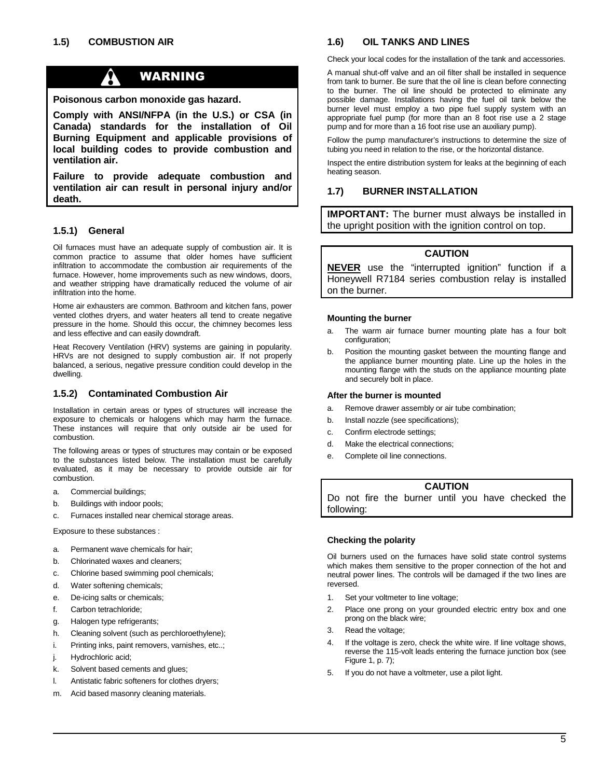W

# WARNING

**Poisonous carbon monoxide gas hazard.** 

**Comply with ANSI/NFPA (in the U.S.) or CSA (in Canada) standards for the installation of Oil Burning Equipment and applicable provisions of local building codes to provide combustion and ventilation air.** 

**Failure to provide adequate combustion and ventilation air can result in personal injury and/or death.** 

## **1.5.1) General**

Oil furnaces must have an adequate supply of combustion air. It is common practice to assume that older homes have sufficient infiltration to accommodate the combustion air requirements of the furnace. However, home improvements such as new windows, doors, and weather stripping have dramatically reduced the volume of air infiltration into the home.

Home air exhausters are common. Bathroom and kitchen fans, power vented clothes dryers, and water heaters all tend to create negative pressure in the home. Should this occur, the chimney becomes less and less effective and can easily downdraft.

Heat Recovery Ventilation (HRV) systems are gaining in popularity. HRVs are not designed to supply combustion air. If not properly balanced, a serious, negative pressure condition could develop in the dwelling.

## **1.5.2) Contaminated Combustion Air**

Installation in certain areas or types of structures will increase the exposure to chemicals or halogens which may harm the furnace. These instances will require that only outside air be used for combustion.

The following areas or types of structures may contain or be exposed to the substances listed below. The installation must be carefully evaluated, as it may be necessary to provide outside air for combustion.

- a. Commercial buildings;
- b. Buildings with indoor pools;
- c. Furnaces installed near chemical storage areas.

Exposure to these substances :

- a. Permanent wave chemicals for hair;
- b. Chlorinated waxes and cleaners;
- c. Chlorine based swimming pool chemicals;
- d. Water softening chemicals;
- e. De-icing salts or chemicals;
- f. Carbon tetrachloride;
- g. Halogen type refrigerants;
- h. Cleaning solvent (such as perchloroethylene);
- i. Printing inks, paint removers, varnishes, etc..;
- Hydrochloric acid;
- k. Solvent based cements and glues;
- l. Antistatic fabric softeners for clothes dryers;
- m. Acid based masonry cleaning materials.

## **1.6) OIL TANKS AND LINES**

Check your local codes for the installation of the tank and accessories.

A manual shut-off valve and an oil filter shall be installed in sequence from tank to burner. Be sure that the oil line is clean before connecting to the burner. The oil line should be protected to eliminate any possible damage. Installations having the fuel oil tank below the burner level must employ a two pipe fuel supply system with an appropriate fuel pump (for more than an 8 foot rise use a 2 stage pump and for more than a 16 foot rise use an auxiliary pump).

Follow the pump manufacturer's instructions to determine the size of tubing you need in relation to the rise, or the horizontal distance.

Inspect the entire distribution system for leaks at the beginning of each heating season.

# **1.7) BURNER INSTALLATION**

**IMPORTANT:** The burner must always be installed in the upright position with the ignition control on top.

## **CAUTION**

**NEVER** use the "interrupted ignition" function if a Honeywell R7184 series combustion relay is installed on the burner.

#### **Mounting the burner**

- a. The warm air furnace burner mounting plate has a four bolt configuration;
- b. Position the mounting gasket between the mounting flange and the appliance burner mounting plate. Line up the holes in the mounting flange with the studs on the appliance mounting plate and securely bolt in place.

#### **After the burner is mounted**

- a. Remove drawer assembly or air tube combination;
- b. Install nozzle (see specifications);
- c. Confirm electrode settings;
- d. Make the electrical connections;
- e. Complete oil line connections.

# **CAUTION**

Do not fire the burner until you have checked the following:

#### **Checking the polarity**

Oil burners used on the furnaces have solid state control systems which makes them sensitive to the proper connection of the hot and neutral power lines. The controls will be damaged if the two lines are reversed.

- 1. Set your voltmeter to line voltage;
- 2. Place one prong on your grounded electric entry box and one prong on the black wire;
- 3. Read the voltage;
- 4. If the voltage is zero, check the white wire. If line voltage shows, reverse the 115-volt leads entering the furnace junction box (see Figure 1, p. 7);
- 5. If you do not have a voltmeter, use a pilot light.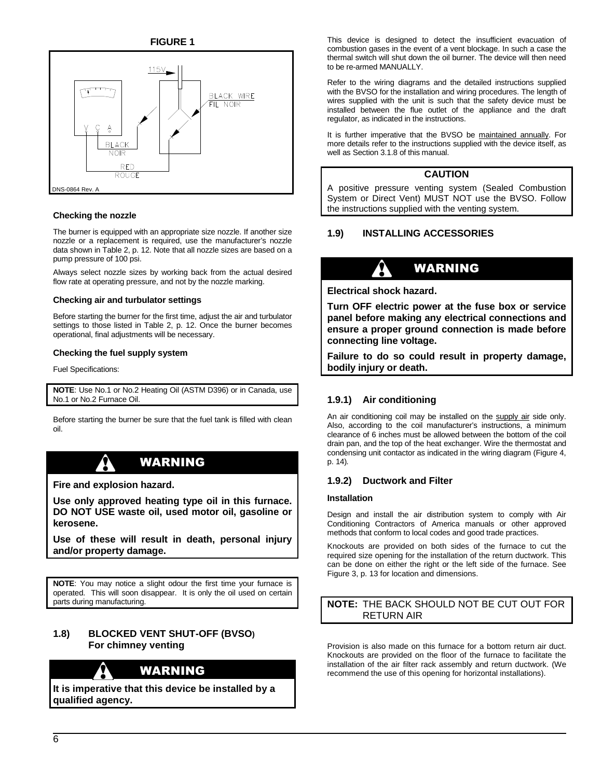**FIGURE 1** 



#### **Checking the nozzle**

The burner is equipped with an appropriate size nozzle. If another size nozzle or a replacement is required, use the manufacturer's nozzle data shown in Table 2, p. 12. Note that all nozzle sizes are based on a pump pressure of 100 psi.

Always select nozzle sizes by working back from the actual desired flow rate at operating pressure, and not by the nozzle marking.

#### **Checking air and turbulator settings**

Before starting the burner for the first time, adjust the air and turbulator settings to those listed in Table 2, p. 12. Once the burner becomes operational, final adjustments will be necessary.

#### **Checking the fuel supply system**

Fuel Specifications:

**NOTE**: Use No.1 or No.2 Heating Oil (ASTM D396) or in Canada, use No.1 or No.2 Furnace Oil.

Before starting the burner be sure that the fuel tank is filled with clean oil.

# WARNING

**Fire and explosion hazard.** 

**Use only approved heating type oil in this furnace. DO NOT USE waste oil, used motor oil, gasoline or kerosene.** 

**Use of these will result in death, personal injury and/or property damage.**

**NOTE**: You may notice a slight odour the first time your furnace is operated. This will soon disappear. It is only the oil used on certain parts during manufacturing.

## **1.8) BLOCKED VENT SHUT-OFF (BVSO) For chimney venting**

# WARNING

**It is imperative that this device be installed by a qualified agency.** 

This device is designed to detect the insufficient evacuation of combustion gases in the event of a vent blockage. In such a case the thermal switch will shut down the oil burner. The device will then need to be re-armed MANUALLY.

Refer to the wiring diagrams and the detailed instructions supplied with the BVSO for the installation and wiring procedures. The length of wires supplied with the unit is such that the safety device must be installed between the flue outlet of the appliance and the draft regulator, as indicated in the instructions.

It is further imperative that the BVSO be maintained annually. For more details refer to the instructions supplied with the device itself, as well as Section 3.1.8 of this manual.

### **CAUTION**

A positive pressure venting system (Sealed Combustion System or Direct Vent) MUST NOT use the BVSO. Follow the instructions supplied with the venting system.

## **1.9) INSTALLING ACCESSORIES**

# WARNING

**Electrical shock hazard.** 

**Turn OFF electric power at the fuse box or service panel before making any electrical connections and ensure a proper ground connection is made before connecting line voltage.** 

**Failure to do so could result in property damage, bodily injury or death.** 

## **1.9.1) Air conditioning**

An air conditioning coil may be installed on the supply air side only. Also, according to the coil manufacturer's instructions, a minimum clearance of 6 inches must be allowed between the bottom of the coil drain pan, and the top of the heat exchanger. Wire the thermostat and condensing unit contactor as indicated in the wiring diagram (Figure 4, p. 14).

## **1.9.2) Ductwork and Filter**

#### **Installation**

Design and install the air distribution system to comply with Air Conditioning Contractors of America manuals or other approved methods that conform to local codes and good trade practices.

Knockouts are provided on both sides of the furnace to cut the required size opening for the installation of the return ductwork. This can be done on either the right or the left side of the furnace. See Figure 3, p. 13 for location and dimensions.

## **NOTE:** THE BACK SHOULD NOT BE CUT OUT FOR RETURN AIR

Provision is also made on this furnace for a bottom return air duct. Knockouts are provided on the floor of the furnace to facilitate the installation of the air filter rack assembly and return ductwork. (We recommend the use of this opening for horizontal installations).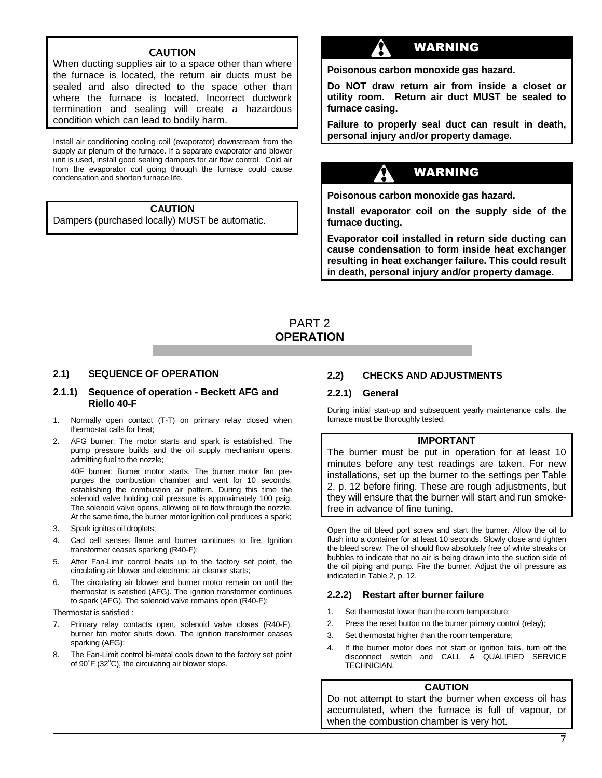### CAUTION

When ducting supplies air to a space other than where the furnace is located, the return air ducts must be sealed and also directed to the space other than where the furnace is located. Incorrect ductwork termination and sealing will create a hazardous condition which can lead to bodily harm.

Install air conditioning cooling coil (evaporator) downstream from the supply air plenum of the furnace. If a separate evaporator and blower unit is used, install good sealing dampers for air flow control. Cold air from the evaporator coil going through the furnace could cause condensation and shorten furnace life.

## **CAUTION**

Dampers (purchased locally) MUST be automatic.

# WARNING

**Poisonous carbon monoxide gas hazard.** 

**Do NOT draw return air from inside a closet or utility room. Return air duct MUST be sealed to furnace casing.** 

**Failure to properly seal duct can result in death, personal injury and/or property damage.** 

# WARNING

**Poisonous carbon monoxide gas hazard.** 

**Install evaporator coil on the supply side of the furnace ducting.** 

**Evaporator coil installed in return side ducting can cause condensation to form inside heat exchanger resulting in heat exchanger failure. This could result in death, personal injury and/or property damage.** 

# PART 2 **OPERATION**

#### **2.1) SEQUENCE OF OPERATION**

#### **2.1.1) Sequence of operation - Beckett AFG and Riello 40-F**

- 1. Normally open contact (T-T) on primary relay closed when thermostat calls for heat;
- 2. AFG burner: The motor starts and spark is established. The pump pressure builds and the oil supply mechanism opens, admitting fuel to the nozzle;

40F burner: Burner motor starts. The burner motor fan prepurges the combustion chamber and vent for 10 seconds, establishing the combustion air pattern. During this time the solenoid valve holding coil pressure is approximately 100 psig. The solenoid valve opens, allowing oil to flow through the nozzle. At the same time, the burner motor ignition coil produces a spark;

- 3. Spark ignites oil droplets;
- 4. Cad cell senses flame and burner continues to fire. Ignition transformer ceases sparking (R40-F);
- 5. After Fan-Limit control heats up to the factory set point, the circulating air blower and electronic air cleaner starts;
- 6. The circulating air blower and burner motor remain on until the thermostat is satisfied (AFG). The ignition transformer continues to spark (AFG). The solenoid valve remains open (R40-F);

Thermostat is satisfied :

- 7. Primary relay contacts open, solenoid valve closes (R40-F), burner fan motor shuts down. The ignition transformer ceases sparking (AFG);
- 8. The Fan-Limit control bi-metal cools down to the factory set point of  $90^{\circ}$ F (32 $^{\circ}$ C), the circulating air blower stops.

## **2.2) CHECKS AND ADJUSTMENTS**

#### **2.2.1) General**

During initial start-up and subsequent yearly maintenance calls, the furnace must be thoroughly tested.

### **IMPORTANT**

The burner must be put in operation for at least 10 minutes before any test readings are taken. For new installations, set up the burner to the settings per Table 2, p. 12 before firing. These are rough adjustments, but they will ensure that the burner will start and run smokefree in advance of fine tuning.

Open the oil bleed port screw and start the burner. Allow the oil to flush into a container for at least 10 seconds. Slowly close and tighten the bleed screw. The oil should flow absolutely free of white streaks or bubbles to indicate that no air is being drawn into the suction side of the oil piping and pump. Fire the burner. Adjust the oil pressure as indicated in Table 2, p. 12.

#### **2.2.2) Restart after burner failure**

- 1. Set thermostat lower than the room temperature;
- 2. Press the reset button on the burner primary control (relay);
- 3. Set thermostat higher than the room temperature;
- 4. If the burner motor does not start or ignition fails, turn off the disconnect switch and CALL A QUALIFIED SERVICE **TECHNICIAN**

#### **CAUTION**

Do not attempt to start the burner when excess oil has accumulated, when the furnace is full of vapour, or when the combustion chamber is very hot.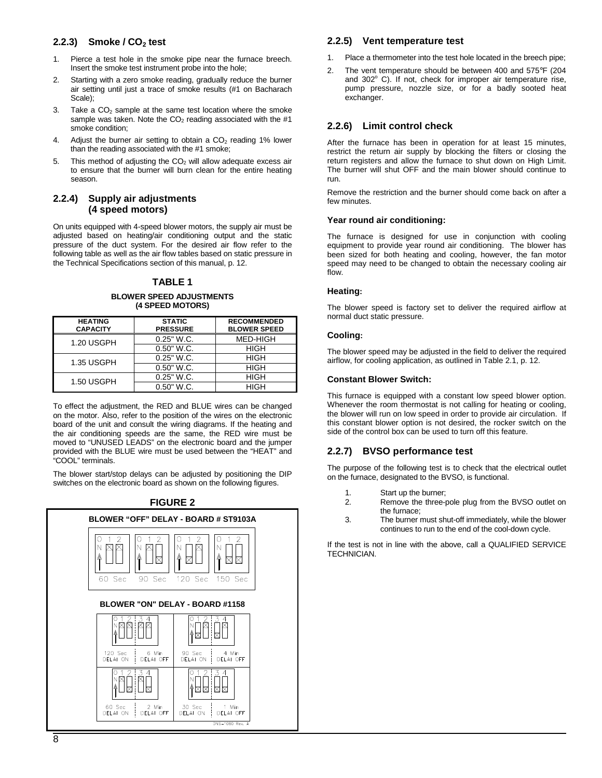# **2.2.3) Smoke / CO2 test**

- 1. Pierce a test hole in the smoke pipe near the furnace breech. Insert the smoke test instrument probe into the hole;
- 2. Starting with a zero smoke reading, gradually reduce the burner air setting until just a trace of smoke results (#1 on Bacharach Scale);
- 3. Take a  $CO<sub>2</sub>$  sample at the same test location where the smoke sample was taken. Note the  $CO<sub>2</sub>$  reading associated with the #1 smoke condition;
- 4. Adjust the burner air setting to obtain a  $CO<sub>2</sub>$  reading 1% lower than the reading associated with the #1 smoke;
- 5. This method of adjusting the  $CO<sub>2</sub>$  will allow adequate excess air to ensure that the burner will burn clean for the entire heating season.

#### **2.2.4) Supply air adjustments (4 speed motors)**

On units equipped with 4-speed blower motors, the supply air must be adjusted based on heating/air conditioning output and the static pressure of the duct system. For the desired air flow refer to the following table as well as the air flow tables based on static pressure in the Technical Specifications section of this manual, p. 12.

### **TABLE 1**

#### **BLOWER SPEED ADJUSTMENTS (4 SPEED MOTORS)**

| <b>HEATING</b><br><b>CAPACITY</b> | <b>STATIC</b><br><b>PRESSURE</b> | <b>RECOMMENDED</b><br><b>BLOWER SPEED</b> |
|-----------------------------------|----------------------------------|-------------------------------------------|
| 1.20 USGPH                        | $0.25"$ W.C.                     | MED-HIGH                                  |
|                                   | $0.50"$ W.C.                     | <b>HIGH</b>                               |
| 1.35 USGPH                        | $0.25"$ W.C.                     | <b>HIGH</b>                               |
|                                   | $0.50"$ W.C.                     | <b>HIGH</b>                               |
| 1.50 USGPH                        | $0.25"$ W.C.                     | <b>HIGH</b>                               |
|                                   | $0.50"$ W.C.                     | HIGH                                      |

To effect the adjustment, the RED and BLUE wires can be changed on the motor. Also, refer to the position of the wires on the electronic board of the unit and consult the wiring diagrams. If the heating and the air conditioning speeds are the same, the RED wire must be moved to "UNUSED LEADS" on the electronic board and the jumper provided with the BLUE wire must be used between the "HEAT" and "COOL" terminals.

The blower start/stop delays can be adjusted by positioning the DIP switches on the electronic board as shown on the following figures.



## **2.2.5) Vent temperature test**

- 1. Place a thermometer into the test hole located in the breech pipe;
- 2. The vent temperature should be between 400 and 575°F (204 and 302° C). If not, check for improper air temperature rise, pump pressure, nozzle size, or for a badly sooted heat exchanger.

## **2.2.6) Limit control check**

After the furnace has been in operation for at least 15 minutes, restrict the return air supply by blocking the filters or closing the return registers and allow the furnace to shut down on High Limit. The burner will shut OFF and the main blower should continue to run.

Remove the restriction and the burner should come back on after a few minutes.

#### **Year round air conditioning:**

The furnace is designed for use in conjunction with cooling equipment to provide year round air conditioning. The blower has been sized for both heating and cooling, however, the fan motor speed may need to be changed to obtain the necessary cooling air flow.

#### **Heating:**

The blower speed is factory set to deliver the required airflow at normal duct static pressure.

### **Cooling:**

The blower speed may be adjusted in the field to deliver the required airflow, for cooling application, as outlined in Table 2.1, p. 12.

### **Constant Blower Switch:**

This furnace is equipped with a constant low speed blower option. Whenever the room thermostat is not calling for heating or cooling, the blower will run on low speed in order to provide air circulation. If this constant blower option is not desired, the rocker switch on the side of the control box can be used to turn off this feature.

# **2.2.7) BVSO performance test**

The purpose of the following test is to check that the electrical outlet on the furnace, designated to the BVSO, is functional.

- 1. Start up the burner;
- 2. Remove the three-pole plug from the BVSO outlet on the furnace;
- 3. The burner must shut-off immediately, while the blower continues to run to the end of the cool-down cycle.

If the test is not in line with the above, call a QUALIFIED SERVICE TECHNICIAN.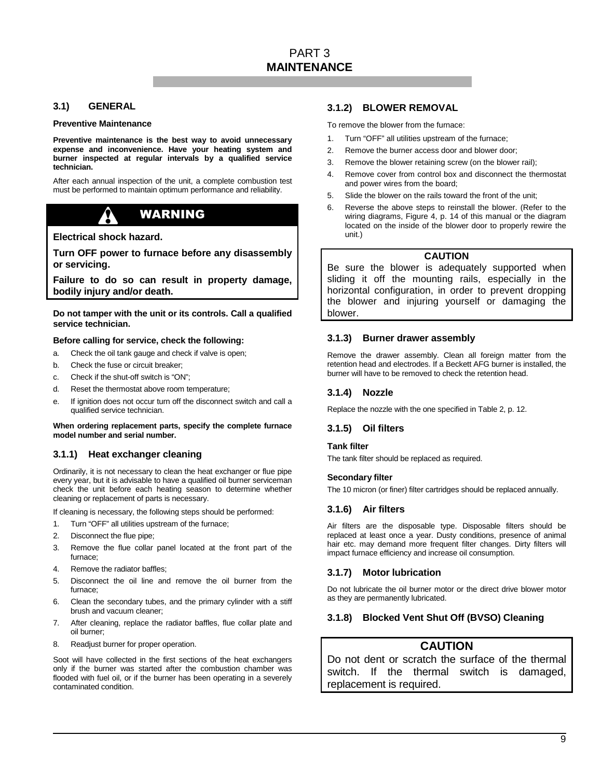### **3.1) GENERAL**

#### **Preventive Maintenance**

**Preventive maintenance is the best way to avoid unnecessary expense and inconvenience. Have your heating system and burner inspected at regular intervals by a qualified service technician.** 

After each annual inspection of the unit, a complete combustion test must be performed to maintain optimum performance and reliability.

# WARNING

**Electrical shock hazard.** 

**Turn OFF power to furnace before any disassembly or servicing.** 

**Failure to do so can result in property damage, bodily injury and/or death.** 

**Do not tamper with the unit or its controls. Call a qualified service technician.** 

#### **Before calling for service, check the following:**

- a. Check the oil tank gauge and check if valve is open;
- b. Check the fuse or circuit breaker;
- c. Check if the shut-off switch is "ON";
- d. Reset the thermostat above room temperature;
- e. If ignition does not occur turn off the disconnect switch and call a qualified service technician.

**When ordering replacement parts, specify the complete furnace model number and serial number.** 

## **3.1.1) Heat exchanger cleaning**

Ordinarily, it is not necessary to clean the heat exchanger or flue pipe every year, but it is advisable to have a qualified oil burner serviceman check the unit before each heating season to determine whether cleaning or replacement of parts is necessary.

If cleaning is necessary, the following steps should be performed:

- 1. Turn "OFF" all utilities upstream of the furnace;
- 2. Disconnect the flue pipe;
- 3. Remove the flue collar panel located at the front part of the furnace;
- 4. Remove the radiator baffles;
- 5. Disconnect the oil line and remove the oil burner from the furnace;
- 6. Clean the secondary tubes, and the primary cylinder with a stiff brush and vacuum cleaner;
- 7. After cleaning, replace the radiator baffles, flue collar plate and oil burner;
- 8. Readjust burner for proper operation.

Soot will have collected in the first sections of the heat exchangers only if the burner was started after the combustion chamber was flooded with fuel oil, or if the burner has been operating in a severely contaminated condition.

#### **3.1.2) BLOWER REMOVAL**

To remove the blower from the furnace:

- 1. Turn "OFF" all utilities upstream of the furnace;
- 2. Remove the burner access door and blower door;
- 3. Remove the blower retaining screw (on the blower rail);
- 4. Remove cover from control box and disconnect the thermostat and power wires from the board;
- 5. Slide the blower on the rails toward the front of the unit;
- 6. Reverse the above steps to reinstall the blower. (Refer to the wiring diagrams, Figure 4, p. 14 of this manual or the diagram located on the inside of the blower door to properly rewire the unit.)

#### **CAUTION**

Be sure the blower is adequately supported when sliding it off the mounting rails, especially in the horizontal configuration, in order to prevent dropping the blower and injuring yourself or damaging the blower.

#### **3.1.3) Burner drawer assembly**

Remove the drawer assembly. Clean all foreign matter from the retention head and electrodes. If a Beckett AFG burner is installed, the burner will have to be removed to check the retention head.

#### **3.1.4) Nozzle**

Replace the nozzle with the one specified in Table 2, p. 12.

#### **3.1.5) Oil filters**

#### **Tank filter**

The tank filter should be replaced as required.

#### **Secondary filter**

The 10 micron (or finer) filter cartridges should be replaced annually.

#### **3.1.6) Air filters**

Air filters are the disposable type. Disposable filters should be replaced at least once a year. Dusty conditions, presence of animal hair etc. may demand more frequent filter changes. Dirty filters will impact furnace efficiency and increase oil consumption.

#### **3.1.7) Motor lubrication**

Do not lubricate the oil burner motor or the direct drive blower motor as they are permanently lubricated.

#### **3.1.8) Blocked Vent Shut Off (BVSO) Cleaning**

## **CAUTION**

Do not dent or scratch the surface of the thermal switch. If the thermal switch is damaged, replacement is required.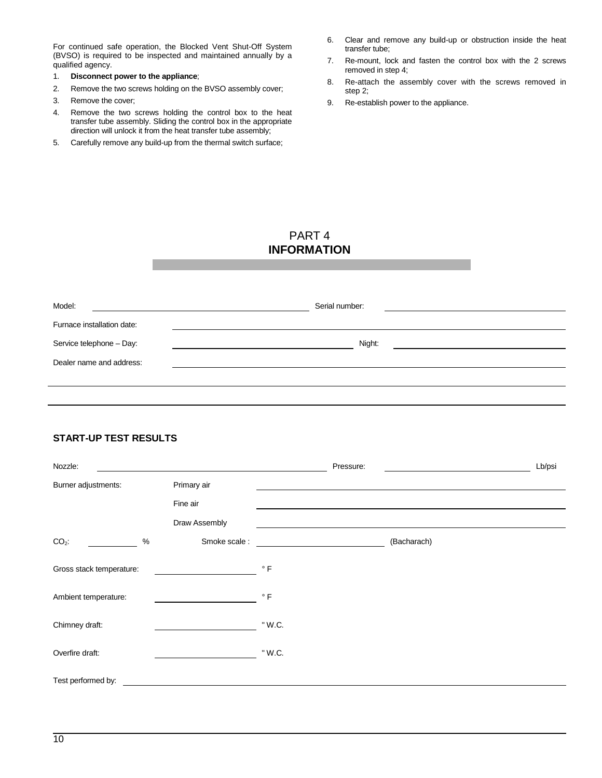For continued safe operation, the Blocked Vent Shut-Off System (BVSO) is required to be inspected and maintained annually by a qualified agency.

- 1. **Disconnect power to the appliance**;
- 2. Remove the two screws holding on the BVSO assembly cover;
- 3. Remove the cover;
- 4. Remove the two screws holding the control box to the heat transfer tube assembly. Sliding the control box in the appropriate direction will unlock it from the heat transfer tube assembly;
- 5. Carefully remove any build-up from the thermal switch surface;
- 6. Clear and remove any build-up or obstruction inside the heat transfer tube;
- 7. Re-mount, lock and fasten the control box with the 2 screws removed in step 4;
- 8. Re-attach the assembly cover with the screws removed in step 2;
- 9. Re-establish power to the appliance.

# PART 4 **INFORMATION**

| Model:                     | Serial number: |  |
|----------------------------|----------------|--|
| Furnace installation date: |                |  |
| Service telephone - Day:   | Night:         |  |
| Dealer name and address:   |                |  |
|                            |                |  |

# **START-UP TEST RESULTS**

| Nozzle:                  |      |               | Pressure:   | Lb/psi |
|--------------------------|------|---------------|-------------|--------|
| Burner adjustments:      |      | Primary air   |             |        |
|                          |      | Fine air      |             |        |
|                          |      | Draw Assembly |             |        |
| $CO2$ :                  | $\%$ | Smoke scale:  | (Bacharach) |        |
| Gross stack temperature: |      |               | $\circ$ F   |        |
| Ambient temperature:     |      |               | $\degree$ F |        |
| Chimney draft:           |      |               | " W.C.      |        |
| Overfire draft:          |      |               | " W.C.      |        |
| Test performed by:       |      |               |             |        |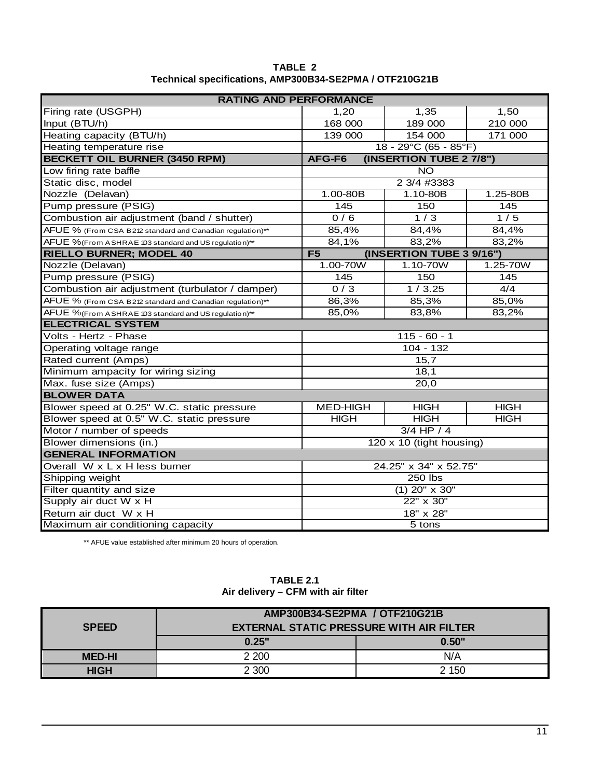| TABLE 2                                                 |
|---------------------------------------------------------|
| Technical specifications, AMP300B34-SE2PMA / OTF210G21B |

| <b>RATING AND PERFORMANCE</b>                             |                          |                                      |              |
|-----------------------------------------------------------|--------------------------|--------------------------------------|--------------|
| Firing rate (USGPH)                                       | 1,20                     | 1,35                                 | 1,50         |
| Input (BTU/h)                                             | 168 000                  | 189 000                              | 210 000      |
| Heating capacity (BTU/h)                                  | 139 000                  | 154 000                              | 171 000      |
| Heating temperature rise                                  |                          | $18 - 29^{\circ}C(65 - 85^{\circ}F)$ |              |
| <b>BECKETT OIL BURNER (3450 RPM)</b>                      | AFG-F6                   | (INSERTION TUBE 2 7/8")              |              |
| Low firing rate baffle                                    |                          | $\overline{10}$                      |              |
| Static disc, model                                        |                          | 2 3/4 #3383                          |              |
| Nozzle (Delavan)                                          | $1.00 - 80B$             | 1.10-80B                             | 1.25-80B     |
| Pump pressure (PSIG)                                      | $\overline{1}$ 45        | 150                                  | 145          |
| Combustion air adjustment (band / shutter)                | 0/6                      | 1/3                                  | 1/5          |
| AFUE % (From CSA B212 standard and Canadian regulation)** | 85,4%                    | 84,4%                                | 84,4%        |
| AFUE %(From ASHRAE 103 standard and US regulation)**      | 84,1%                    | 83,2%                                | 83,2%        |
| <b>RIELLO BURNER; MODEL 40</b>                            | F5                       | (INSERTION TUBE 3 9/16")             |              |
| Nozzle (Delavan)                                          | 1.00-70W                 | $1.10 - 70W$                         | $1.25 - 70W$ |
| Pump pressure (PSIG)                                      | 145                      | 150                                  | 145          |
| Combustion air adjustment (turbulator / damper)           | 0/3                      | 1/3.25                               | 4/4          |
| AFUE % (From CSA B212 standard and Canadian regulation)** | 86,3%                    | 85,3%                                | 85,0%        |
| AFUE %(From ASHRAE 103 standard and US regulation)**      | 85,0%                    | 83,8%                                | 83,2%        |
| <b>ELECTRICAL SYSTEM</b>                                  |                          |                                      |              |
| Volts - Hertz - Phase                                     | $115 - 60 - 1$           |                                      |              |
| $104 - 132$<br>Operating voltage range                    |                          |                                      |              |
| Rated current (Amps)<br>15,7                              |                          |                                      |              |
| Minimum ampacity for wiring sizing                        | 18,1                     |                                      |              |
| Max. fuse size (Amps)                                     | 20,0                     |                                      |              |
| <b>BLOWER DATA</b>                                        |                          |                                      |              |
| Blower speed at 0.25" W.C. static pressure                | <b>MED-HIGH</b>          | <b>HIGH</b>                          | <b>HIGH</b>  |
| Blower speed at 0.5" W.C. static pressure                 | <b>HIGH</b>              | <b>HIGH</b>                          | <b>HIGH</b>  |
| Motor / number of speeds                                  | $3/4$ HP $/4$            |                                      |              |
| Blower dimensions (in.)                                   | 120 x 10 (tight housing) |                                      |              |
| <b>GENERAL INFORMATION</b>                                |                          |                                      |              |
| Overall W x L x H less burner<br>24.25" x 34" x 52.75"    |                          |                                      |              |
| Shipping weight<br>250 lbs                                |                          |                                      |              |
| Filter quantity and size<br>$\sqrt{(1)}$ 20" x 30"        |                          |                                      |              |
| 22" x 30"<br>Supply air duct W x H                        |                          |                                      |              |
| Return air duct W x H                                     | 18" x 28"                |                                      |              |
| Maximum air conditioning capacity                         |                          | $5$ tons                             |              |

\*\* AFUE value established after minimum 20 hours of operation.

|               | AMP300B34-SE2PMA / OTF210G21B                   |       |
|---------------|-------------------------------------------------|-------|
| <b>SPEED</b>  | <b>EXTERNAL STATIC PRESSURE WITH AIR FILTER</b> |       |
|               | 0.25"                                           | 0.50" |
| <b>MED-HI</b> | 2 2 0 0                                         | N/A   |
| <b>HIGH</b>   | 2 300                                           | 2 150 |

# **TABLE 2.1 Air delivery – CFM with air filter**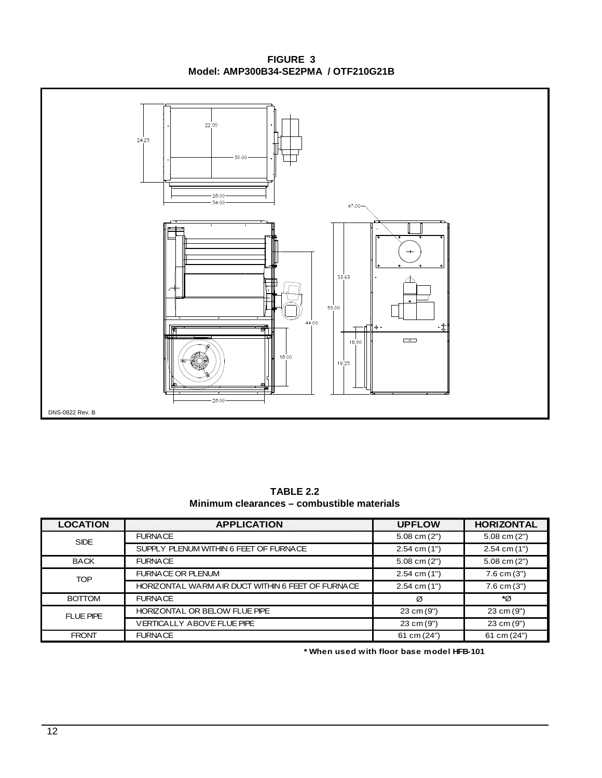**FIGURE 3 Model: AMP300B34-SE2PMA / OTF210G21B**



**TABLE 2.2 Minimum clearances – combustible materials**

| <b>LOCATION</b>  | <b>APPLICATION</b><br>:::::::::::::               | <b>UPFLOW</b>    | <b>HORIZONTAL</b> |
|------------------|---------------------------------------------------|------------------|-------------------|
| <b>SIDE</b>      | <b>FURNACE</b>                                    | $5.08$ cm $(2")$ | $5.08$ cm $(2")$  |
|                  | SUPPLY PLENUM WITHIN 6 FEET OF FURNACE            | $2.54$ cm $(1")$ | $2.54$ cm $(1")$  |
| <b>BACK</b>      | <b>FURNACE</b>                                    | $5.08$ cm $(2")$ | $5.08$ cm $(2")$  |
| <b>TOP</b>       | <b>FURNACE OR PLENUM</b>                          | $2.54$ cm $(1")$ | $7.6$ cm $(3")$   |
|                  | HORIZONTAL WARM AIR DUCT WITHIN 6 FEET OF FURNACE | $2.54$ cm $(1")$ | $7.6$ cm $(3")$   |
| <b>BOTTOM</b>    | <b>FURNACE</b>                                    | Ø                | ۰ø                |
| <b>FLUE PIPE</b> | HORIZONTAL OR BELOW FLUE PIPE                     | 23 cm (9")       | 23 cm (9")        |
|                  | <b>VERTICALLY ABOVE FLUE PIPE</b>                 | 23 cm (9")       | 23 cm (9")        |
| <b>FRONT</b>     | <b>FURNACE</b>                                    | 61 cm (24")      | 61 cm (24")       |

 **\* When used with floor base model HFB-101**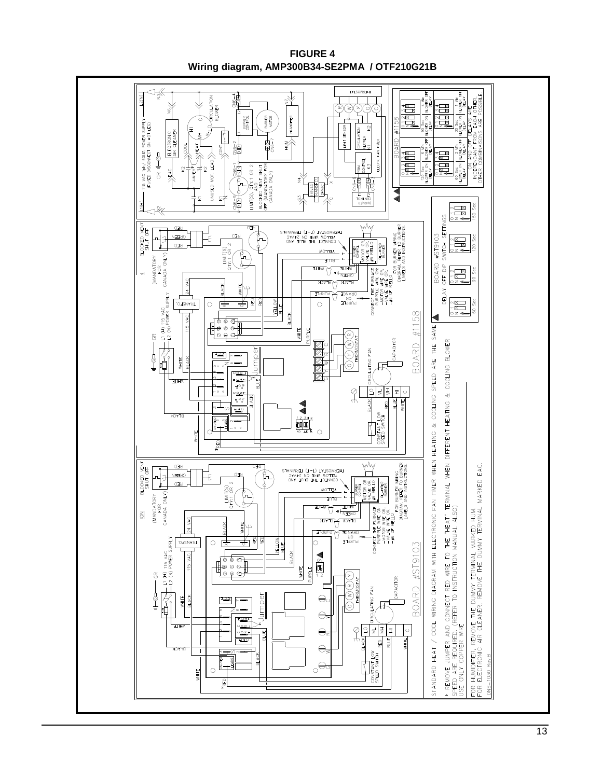

**FIGURE 4 Wiring diagram, AMP300B34-SE2PMA / OTF210G21B**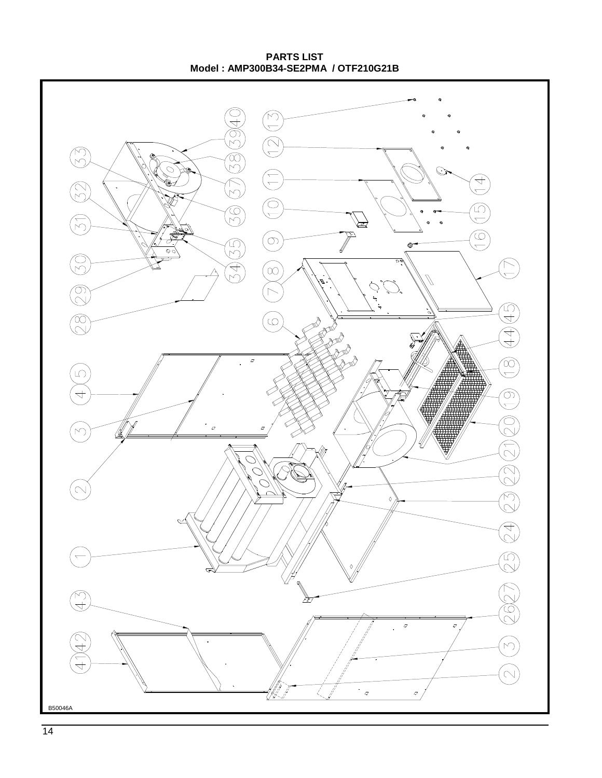**PARTS LIST Model : AMP300B34-SE2PMA / OTF210G21B**